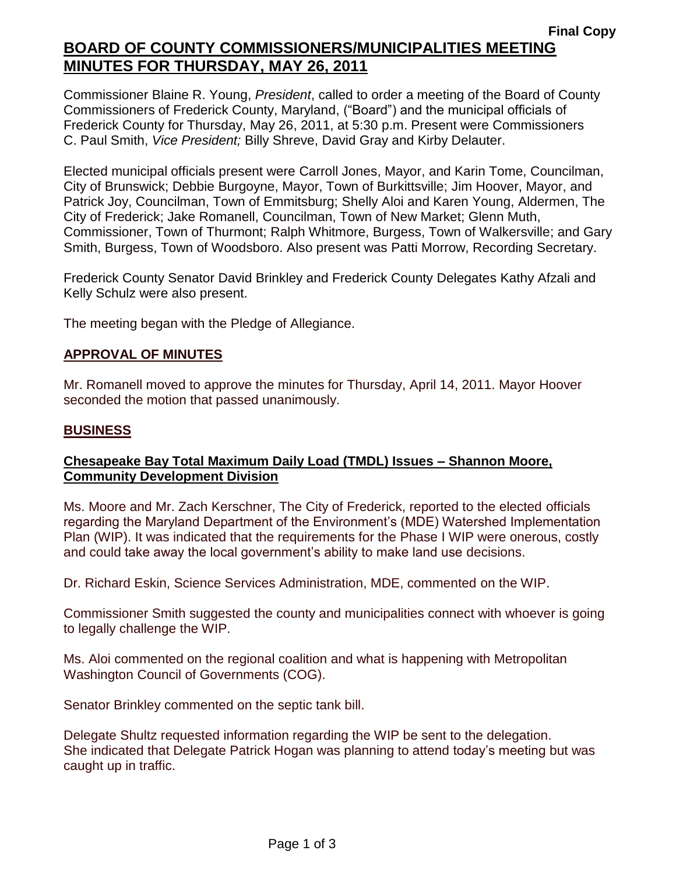# **Final Copy BOARD OF COUNTY COMMISSIONERS/MUNICIPALITIES MEETING MINUTES FOR THURSDAY, MAY 26, 2011**

Commissioner Blaine R. Young, *President*, called to order a meeting of the Board of County Commissioners of Frederick County, Maryland, ("Board") and the municipal officials of Frederick County for Thursday, May 26, 2011, at 5:30 p.m. Present were Commissioners C. Paul Smith, *Vice President;* Billy Shreve, David Gray and Kirby Delauter.

Elected municipal officials present were Carroll Jones, Mayor, and Karin Tome, Councilman, City of Brunswick; Debbie Burgoyne, Mayor, Town of Burkittsville; Jim Hoover, Mayor, and Patrick Joy, Councilman, Town of Emmitsburg; Shelly Aloi and Karen Young, Aldermen, The City of Frederick; Jake Romanell, Councilman, Town of New Market; Glenn Muth, Commissioner, Town of Thurmont; Ralph Whitmore, Burgess, Town of Walkersville; and Gary Smith, Burgess, Town of Woodsboro. Also present was Patti Morrow, Recording Secretary.

Frederick County Senator David Brinkley and Frederick County Delegates Kathy Afzali and Kelly Schulz were also present.

The meeting began with the Pledge of Allegiance.

#### *1BU***APPROVAL OF MINUTES**

Mr. Romanell moved to approve the minutes for Thursday, April 14, 2011. Mayor Hoover seconded the motion that passed unanimously.

#### *2BU***BUSINESS**

#### **Chesapeake Bay Total Maximum Daily Load (TMDL) Issues – Shannon Moore, Community Development Division**

Ms. Moore and Mr. Zach Kerschner, The City of Frederick, reported to the elected officials regarding the Maryland Department of the Environment's (MDE) Watershed Implementation Plan (WIP). It was indicated that the requirements for the Phase I WIP were onerous, costly and could take away the local government's ability to make land use decisions.

Dr. Richard Eskin, Science Services Administration, MDE, commented on the WIP.

Commissioner Smith suggested the county and municipalities connect with whoever is going to legally challenge the WIP.

Ms. Aloi commented on the regional coalition and what is happening with Metropolitan Washington Council of Governments (COG).

Senator Brinkley commented on the septic tank bill.

Delegate Shultz requested information regarding the WIP be sent to the delegation. She indicated that Delegate Patrick Hogan was planning to attend today's meeting but was caught up in traffic.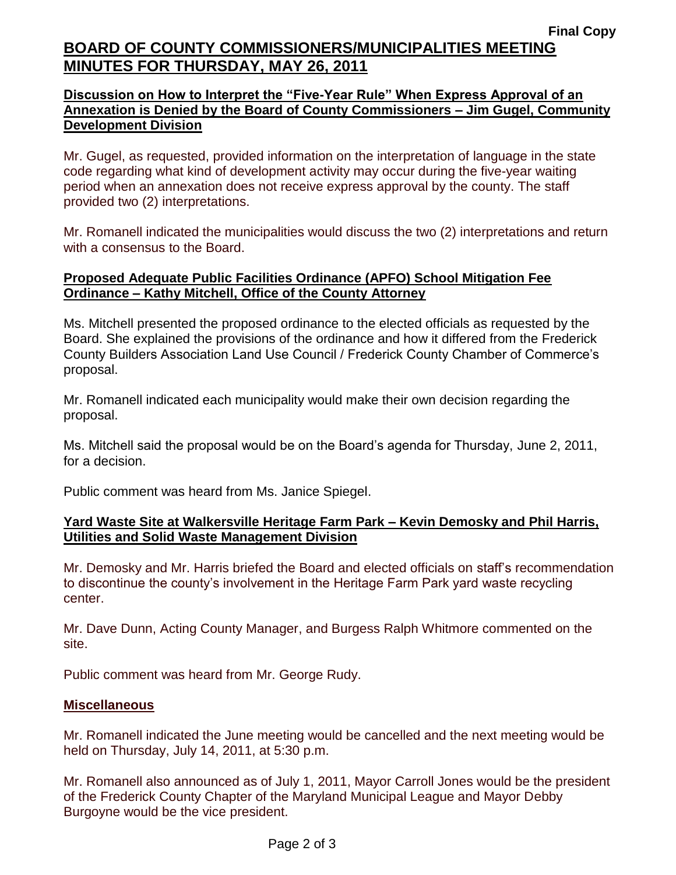# **Final Copy BOARD OF COUNTY COMMISSIONERS/MUNICIPALITIES MEETING MINUTES FOR THURSDAY, MAY 26, 2011**

## **Discussion on How to Interpret the "Five-Year Rule" When Express Approval of an Annexation is Denied by the Board of County Commissioners – Jim Gugel, Community Development Division**

Mr. Gugel, as requested, provided information on the interpretation of language in the state code regarding what kind of development activity may occur during the five-year waiting period when an annexation does not receive express approval by the county. The staff provided two (2) interpretations.

Mr. Romanell indicated the municipalities would discuss the two (2) interpretations and return with a consensus to the Board.

#### **Proposed Adequate Public Facilities Ordinance (APFO) School Mitigation Fee Ordinance – Kathy Mitchell, Office of the County Attorney**

Ms. Mitchell presented the proposed ordinance to the elected officials as requested by the Board. She explained the provisions of the ordinance and how it differed from the Frederick County Builders Association Land Use Council / Frederick County Chamber of Commerce's proposal.

Mr. Romanell indicated each municipality would make their own decision regarding the proposal.

Ms. Mitchell said the proposal would be on the Board's agenda for Thursday, June 2, 2011, for a decision.

Public comment was heard from Ms. Janice Spiegel.

## **Yard Waste Site at Walkersville Heritage Farm Park – Kevin Demosky and Phil Harris, Utilities and Solid Waste Management Division**

Mr. Demosky and Mr. Harris briefed the Board and elected officials on staff's recommendation to discontinue the county's involvement in the Heritage Farm Park yard waste recycling center.

Mr. Dave Dunn, Acting County Manager, and Burgess Ralph Whitmore commented on the site.

Public comment was heard from Mr. George Rudy.

#### **Miscellaneous**

Mr. Romanell indicated the June meeting would be cancelled and the next meeting would be held on Thursday, July 14, 2011, at 5:30 p.m.

Mr. Romanell also announced as of July 1, 2011, Mayor Carroll Jones would be the president of the Frederick County Chapter of the Maryland Municipal League and Mayor Debby Burgoyne would be the vice president.